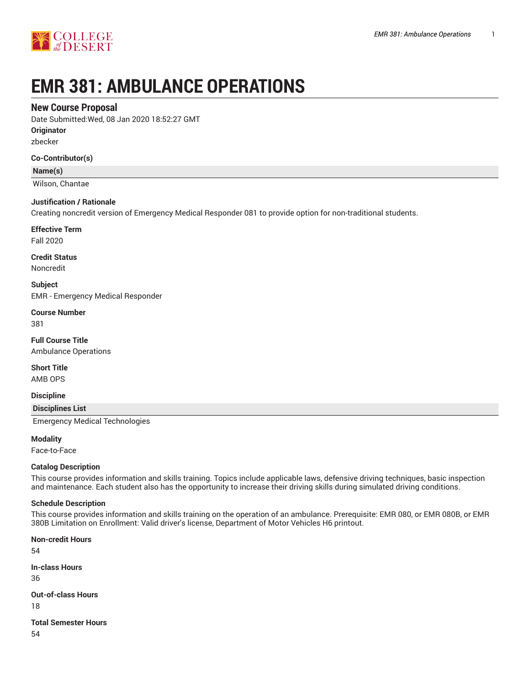

# **EMR 381: AMBULANCE OPERATIONS**

# **New Course Proposal**

Date Submitted:Wed, 08 Jan 2020 18:52:27 GMT

**Originator**

zbecker

## **Co-Contributor(s)**

**Name(s)**

Wilson, Chantae

## **Justification / Rationale**

Creating noncredit version of Emergency Medical Responder 081 to provide option for non-traditional students.

**Effective Term**

Fall 2020

**Credit Status** Noncredit

**Subject**

EMR - Emergency Medical Responder

**Course Number** 381

**Full Course Title** Ambulance Operations

**Short Title**

AMB OPS

**Discipline**

**Disciplines List**

Emergency Medical Technologies

**Modality**

Face-to-Face

#### **Catalog Description**

This course provides information and skills training. Topics include applicable laws, defensive driving techniques, basic inspection and maintenance. Each student also has the opportunity to increase their driving skills during simulated driving conditions.

#### **Schedule Description**

This course provides information and skills training on the operation of an ambulance. Prerequisite: EMR 080, or EMR 080B, or EMR 380B Limitation on Enrollment: Valid driver's license, Department of Motor Vehicles H6 printout.

**Non-credit Hours**

54

**In-class Hours**

36

**Out-of-class Hours**

18

**Total Semester Hours**

54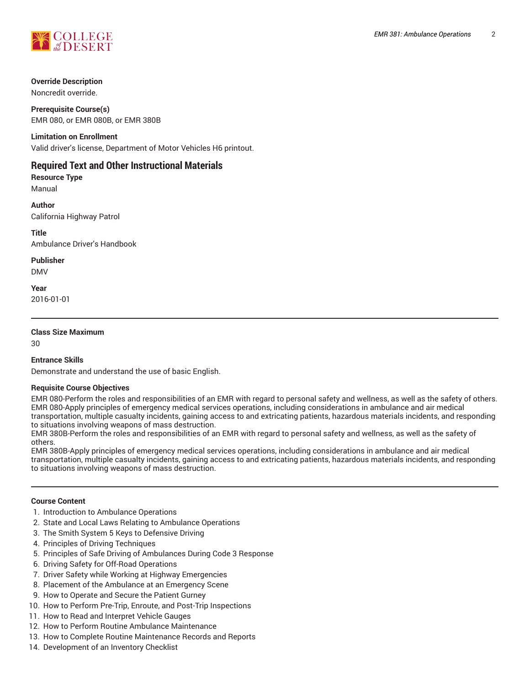

## **Override Description**

Noncredit override.

**Prerequisite Course(s)** EMR 080, or EMR 080B, or EMR 380B

#### **Limitation on Enrollment**

Valid driver's license, Department of Motor Vehicles H6 printout.

# **Required Text and Other Instructional Materials**

**Resource Type** Manual

**Author** California Highway Patrol

**Title** Ambulance Driver's Handbook

**Publisher**

DMV

**Year** 2016-01-01

## **Class Size Maximum**

30

## **Entrance Skills**

Demonstrate and understand the use of basic English.

#### **Requisite Course Objectives**

EMR 080-Perform the roles and responsibilities of an EMR with regard to personal safety and wellness, as well as the safety of others. EMR 080-Apply principles of emergency medical services operations, including considerations in ambulance and air medical transportation, multiple casualty incidents, gaining access to and extricating patients, hazardous materials incidents, and responding to situations involving weapons of mass destruction.

EMR 380B-Perform the roles and responsibilities of an EMR with regard to personal safety and wellness, as well as the safety of others.

EMR 380B-Apply principles of emergency medical services operations, including considerations in ambulance and air medical transportation, multiple casualty incidents, gaining access to and extricating patients, hazardous materials incidents, and responding to situations involving weapons of mass destruction.

#### **Course Content**

- 1. Introduction to Ambulance Operations
- 2. State and Local Laws Relating to Ambulance Operations
- 3. The Smith System 5 Keys to Defensive Driving
- 4. Principles of Driving Techniques
- 5. Principles of Safe Driving of Ambulances During Code 3 Response
- 6. Driving Safety for Off-Road Operations
- 7. Driver Safety while Working at Highway Emergencies
- 8. Placement of the Ambulance at an Emergency Scene
- 9. How to Operate and Secure the Patient Gurney
- 10. How to Perform Pre-Trip, Enroute, and Post-Trip Inspections
- 11. How to Read and Interpret Vehicle Gauges
- 12. How to Perform Routine Ambulance Maintenance
- 13. How to Complete Routine Maintenance Records and Reports
- 14. Development of an Inventory Checklist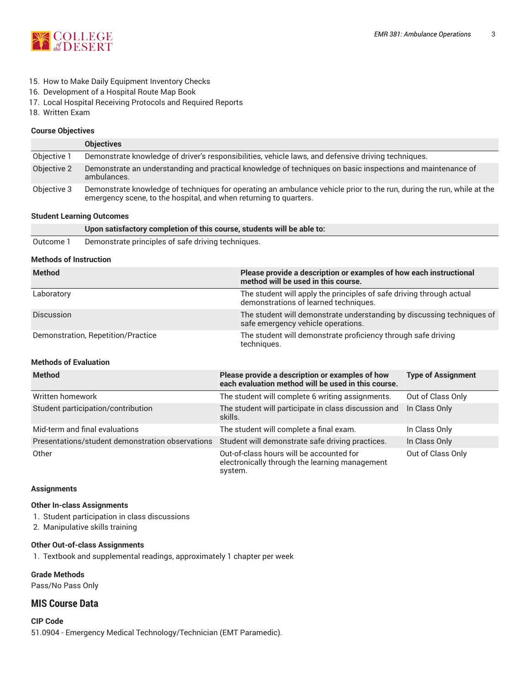

- 15. How to Make Daily Equipment Inventory Checks
- 16. Development of a Hospital Route Map Book
- 17. Local Hospital Receiving Protocols and Required Reports
- 18. Written Exam

## **Course Objectives**

|             | <b>Objectives</b>                                                                                                                                                                          |
|-------------|--------------------------------------------------------------------------------------------------------------------------------------------------------------------------------------------|
| Objective 1 | Demonstrate knowledge of driver's responsibilities, vehicle laws, and defensive driving techniques.                                                                                        |
| Objective 2 | Demonstrate an understanding and practical knowledge of techniques on basic inspections and maintenance of<br>ambulances.                                                                  |
| Objective 3 | Demonstrate knowledge of techniques for operating an ambulance vehicle prior to the run, during the run, while at the<br>emergency scene, to the hospital, and when returning to quarters. |

#### **Student Learning Outcomes**

#### **Upon satisfactory completion of this course, students will be able to:**

Outcome 1 Demonstrate principles of safe driving techniques.

#### **Methods of Instruction**

| <b>Method</b>                      | Please provide a description or examples of how each instructional<br>method will be used in this course.     |
|------------------------------------|---------------------------------------------------------------------------------------------------------------|
| Laboratory                         | The student will apply the principles of safe driving through actual<br>demonstrations of learned techniques. |
| <b>Discussion</b>                  | The student will demonstrate understanding by discussing techniques of<br>safe emergency vehicle operations.  |
| Demonstration, Repetition/Practice | The student will demonstrate proficiency through safe driving<br>techniques.                                  |

## **Methods of Evaluation**

| <b>Method</b>                                    | Please provide a description or examples of how<br>each evaluation method will be used in this course. | <b>Type of Assignment</b> |
|--------------------------------------------------|--------------------------------------------------------------------------------------------------------|---------------------------|
| Written homework                                 | The student will complete 6 writing assignments.                                                       | Out of Class Only         |
| Student participation/contribution               | The student will participate in class discussion and<br>skills.                                        | In Class Only             |
| Mid-term and final evaluations                   | The student will complete a final exam.                                                                | In Class Only             |
| Presentations/student demonstration observations | Student will demonstrate safe driving practices.                                                       | In Class Only             |
| Other                                            | Out-of-class hours will be accounted for<br>electronically through the learning management<br>system.  | Out of Class Only         |

#### **Assignments**

#### **Other In-class Assignments**

- 1. Student participation in class discussions
- 2. Manipulative skills training

#### **Other Out-of-class Assignments**

1. Textbook and supplemental readings, approximately 1 chapter per week

**Grade Methods** Pass/No Pass Only

# **MIS Course Data**

**CIP Code** 51.0904 - Emergency Medical Technology/Technician (EMT Paramedic).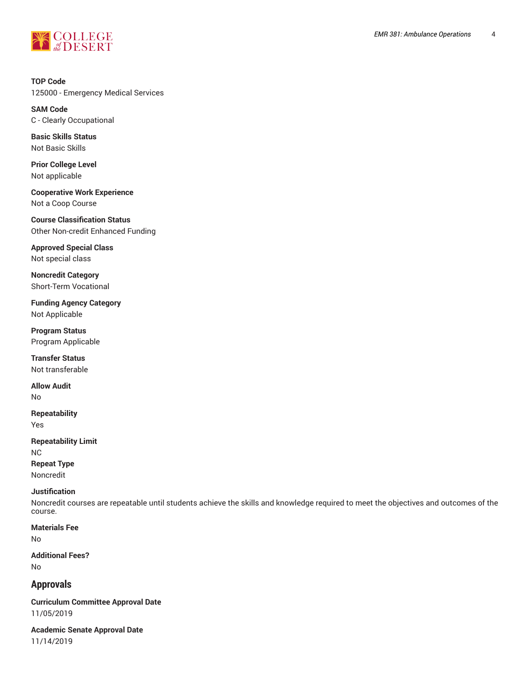

**TOP Code** 125000 - Emergency Medical Services

**SAM Code** C - Clearly Occupational

**Basic Skills Status** Not Basic Skills

**Prior College Level** Not applicable

**Cooperative Work Experience** Not a Coop Course

**Course Classification Status** Other Non-credit Enhanced Funding

**Approved Special Class** Not special class

**Noncredit Category** Short-Term Vocational

**Funding Agency Category** Not Applicable

**Program Status** Program Applicable

**Transfer Status** Not transferable

**Allow Audit** No

**Repeatability** Yes

**Repeatability Limit** NC **Repeat Type** Noncredit

# **Justification**

Noncredit courses are repeatable until students achieve the skills and knowledge required to meet the objectives and outcomes of the course.

**Materials Fee** No

**Additional Fees?** No

# **Approvals**

**Curriculum Committee Approval Date** 11/05/2019

**Academic Senate Approval Date** 11/14/2019